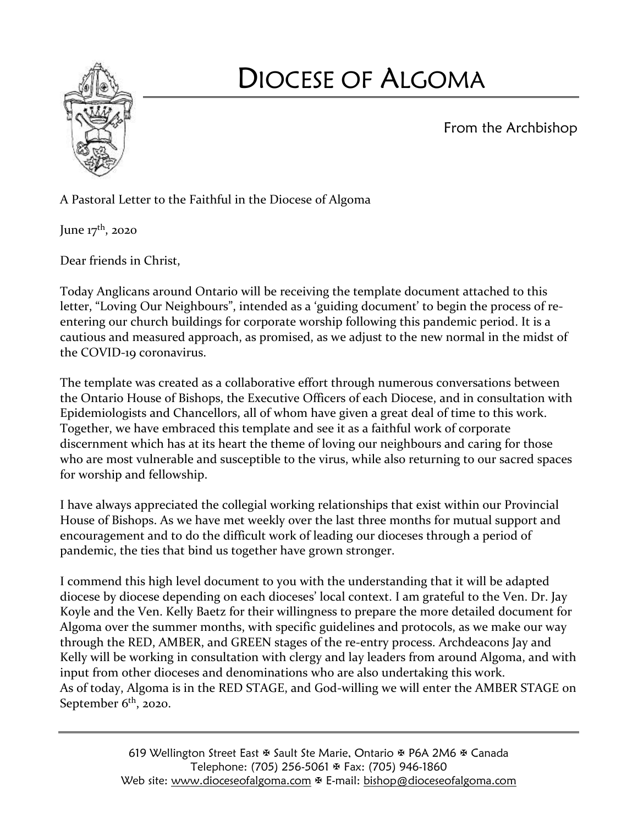

## DIOCESE OF ALGOMA

From the Archbishop

A Pastoral Letter to the Faithful in the Diocese of Algoma

June  $17<sup>th</sup>$ , 2020

Dear friends in Christ,

Today Anglicans around Ontario will be receiving the template document attached to this letter, "Loving Our Neighbours", intended as a 'guiding document' to begin the process of reentering our church buildings for corporate worship following this pandemic period. It is a cautious and measured approach, as promised, as we adjust to the new normal in the midst of the COVID-19 coronavirus.

The template was created as a collaborative effort through numerous conversations between the Ontario House of Bishops, the Executive Officers of each Diocese, and in consultation with Epidemiologists and Chancellors, all of whom have given a great deal of time to this work. Together, we have embraced this template and see it as a faithful work of corporate discernment which has at its heart the theme of loving our neighbours and caring for those who are most vulnerable and susceptible to the virus, while also returning to our sacred spaces for worship and fellowship.

I have always appreciated the collegial working relationships that exist within our Provincial House of Bishops. As we have met weekly over the last three months for mutual support and encouragement and to do the difficult work of leading our dioceses through a period of pandemic, the ties that bind us together have grown stronger.

I commend this high level document to you with the understanding that it will be adapted diocese by diocese depending on each dioceses' local context. I am grateful to the Ven. Dr. Jay Koyle and the Ven. Kelly Baetz for their willingness to prepare the more detailed document for Algoma over the summer months, with specific guidelines and protocols, as we make our way through the RED, AMBER, and GREEN stages of the re-entry process. Archdeacons Jay and Kelly will be working in consultation with clergy and lay leaders from around Algoma, and with input from other dioceses and denominations who are also undertaking this work. As of today, Algoma is in the RED STAGE, and God-willing we will enter the AMBER STAGE on September 6<sup>th</sup>, 2020.

> 619 Wellington Street East & Sault Ste Marie, Ontario & P6A 2M6 & Canada Telephone: (705) 256-5061 Fax: (705) 946-1860 Web site: [www.dioceseofalgoma.com](http://www.dioceseofalgoma.com/)  $\mathbb F$  E-mail: [bishop@dioceseofalgoma.com](mailto:bishop@dioceseofalgoma.com)